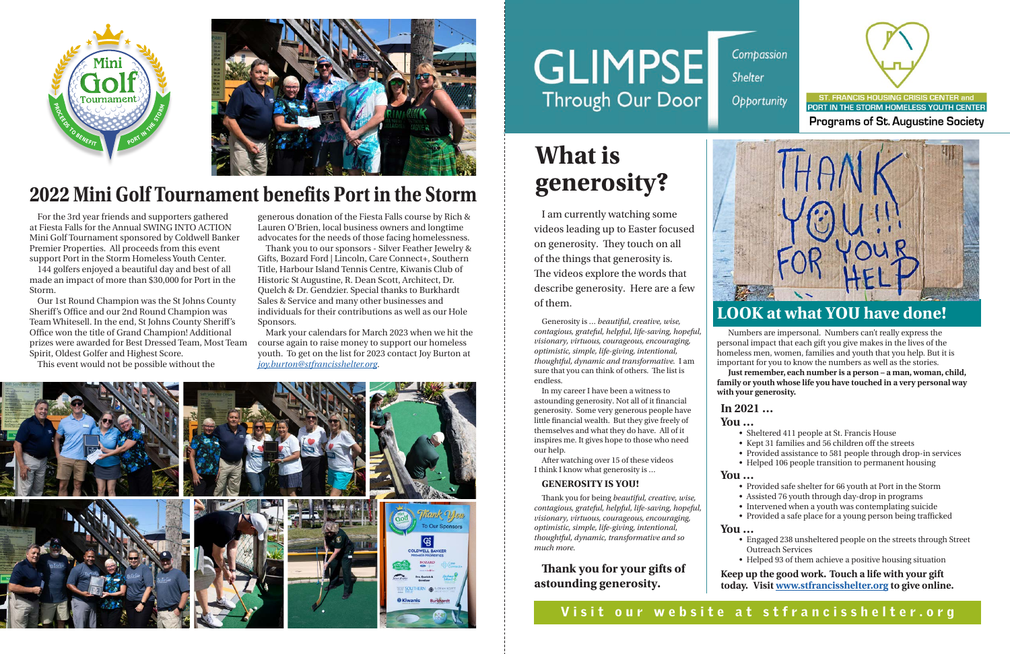



I am currently watching some videos leading up to Easter focused on generosity. They touch on all of the things that generosity is. The videos explore the words that describe generosity. Here are a few of them.

Generosity is … *beautiful, creative, wise, contagious, grateful, helpful, life-saving, hopeful, visionary, virtuous, courageous, encouraging, optimistic, simple, life-giving, intentional, thoughtful, dynamic and transformative.* I am sure that you can think of others. The list is endless.

In my career I have been a witness to astounding generosity. Not all of it financial generosity. Some very generous people have little financial wealth. But they give freely of themselves and what they do have. All of it inspires me. It gives hope to those who need our help.

After watching over 15 of these videos I think I know what generosity is …

#### **GENEROSITY IS YOU!**

Thank you for being *beautiful, creative, wise, contagious, grateful, helpful, life-saving, hopeful, visionary, virtuous, courageous, encouraging, optimistic, simple, life-giving, intentional, thoughtful, dynamic, transformative and so much more.* 

**Thank you for your gifts of astounding generosity.** 

## **What is generosity?**

#### **LOOK at what YOU have done!**

Numbers are impersonal. Numbers can't really express the personal impact that each gift you give makes in the lives of the homeless men, women, families and youth that you help. But it is important for you to know the numbers as well as the stories. **Just remember, each number is a person – a man, woman, child, family or youth whose life you have touched in a very personal way with your generosity.**

#### **In 2021 …**

**You …**• Sheltered 411 people at St. Francis House • Kept 31 families and 56 children off the streets • Provided assistance to 581 people through drop-in services • Helped 106 people transition to permanent housing

**You …**



PORT IN THE STORM HOMELESS YOUTH CENTER **Programs of St. Augustine Society** 

ST. FRANCIS HOUSING CRISIS CENTER and



• Provided safe shelter for 66 youth at Port in the Storm • Assisted 76 youth through day-drop in programs • Intervened when a youth was contemplating suicide • Provided a safe place for a young person being trafficked

**You …**

• Engaged 238 unsheltered people on the streets through Street Outreach Services

• Helped 93 of them achieve a positive housing situation

**Keep up the good work. Touch a life with your gift today. Visit www.stfrancisshelter.org to give online.**

### **2022 Mini Golf Tournament benefits Port in the Storm**

For the 3rd year friends and supporters gathered at Fiesta Falls for the Annual SWING INTO ACTION Mini Golf Tournament sponsored by Coldwell Banker Premier Properties. All proceeds from this event support Port in the Storm Homeless Youth Center.

144 golfers enjoyed a beautiful day and best of all made an impact of more than \$30,000 for Port in the Storm.

Our 1st Round Champion was the St Johns County Sheriff's Office and our 2nd Round Champion was Team Whitesell. In the end, St Johns County Sheriff's Office won the title of Grand Champion! Additional prizes were awarded for Best Dressed Team, Most Team Spirit, Oldest Golfer and Highest Score.

This event would not be possible without the

generous donation of the Fiesta Falls course by Rich & Lauren O'Brien, local business owners and longtime advocates for the needs of those facing homelessness.

Thank you to our sponsors - Silver Feather Jewelry & Gifts, Bozard Ford | Lincoln, Care Connect+, Southern Title, Harbour Island Tennis Centre, Kiwanis Club of Historic St Augustine, R. Dean Scott, Architect, Dr. Quelch & Dr. Gendzier. Special thanks to Burkhardt Sales & Service and many other businesses and individuals for their contributions as well as our Hole Sponsors.

Mark your calendars for March 2023 when we hit the course again to raise money to support our homeless youth. To get on the list for 2023 contact Joy Burton at *joy.burton@stfrancisshelter.org*.



# **GLIMPSE Through Our Door**

Compassion Shelter Opportunity